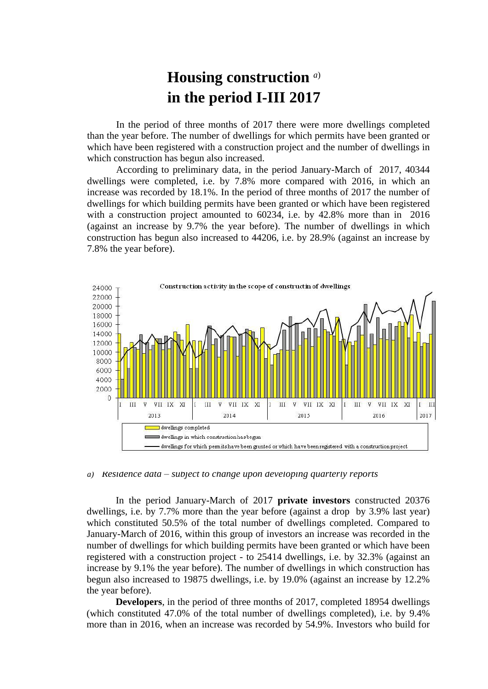## **Housing construction** *a*) **in the period I-III 2017**

In the period of three months of 2017 there were more dwellings completed than the year before. The number of dwellings for which permits have been granted or which have been registered with a construction project and the number of dwellings in which construction has begun also increased.

According to preliminary data, in the period January-March of 2017, 40344 dwellings were completed, i.e. by 7.8% more compared with 2016, in which an increase was recorded by 18.1%. In the period of three months of 2017 the number of dwellings for which building permits have been granted or which have been registered with a construction project amounted to 60234, i.e. by 42.8% more than in 2016 (against an increase by 9.7% the year before). The number of dwellings in which construction has begun also increased to 44206, i.e. by 28.9% (against an increase by 7.8% the year before).



*a) Residence data – subject to change upon developing quarterly reports*

In the period January-March of 2017 **private investors** constructed 20376 dwellings, i.e. by 7.7% more than the year before (against a drop by 3.9% last year) which constituted 50.5% of the total number of dwellings completed. Compared to January-March of 2016, within this group of investors an increase was recorded in the number of dwellings for which building permits have been granted or which have been registered with a construction project - to 25414 dwellings, i.e. by 32.3% (against an increase by 9.1% the year before). The number of dwellings in which construction has begun also increased to 19875 dwellings, i.e. by 19.0% (against an increase by 12.2% the year before).

**Developers**, in the period of three months of 2017, completed 18954 dwellings (which constituted 47.0% of the total number of dwellings completed), i.e. by 9.4% more than in 2016, when an increase was recorded by 54.9%. Investors who build for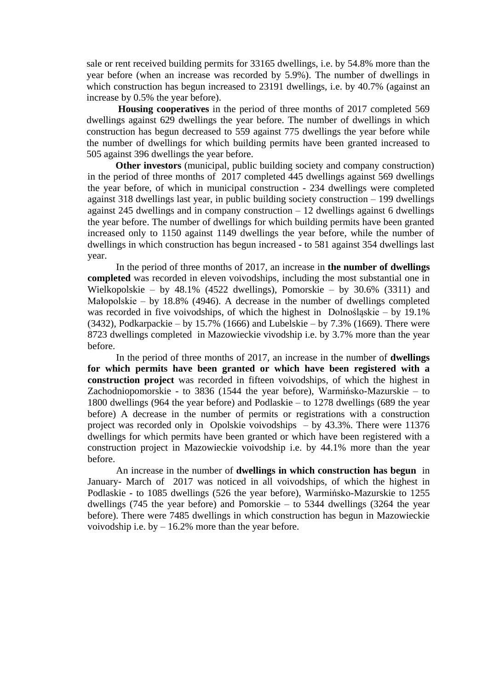sale or rent received building permits for 33165 dwellings, i.e. by 54.8% more than the year before (when an increase was recorded by 5.9%). The number of dwellings in which construction has begun increased to 23191 dwellings, i.e. by 40.7% (against an increase by 0.5% the year before).

**Housing cooperatives** in the period of three months of 2017 completed 569 dwellings against 629 dwellings the year before. The number of dwellings in which construction has begun decreased to 559 against 775 dwellings the year before while the number of dwellings for which building permits have been granted increased to 505 against 396 dwellings the year before.

 **Other investors** (municipal, public building society and company construction) in the period of three months of 2017 completed 445 dwellings against 569 dwellings the year before, of which in municipal construction - 234 dwellings were completed against 318 dwellings last year, in public building society construction – 199 dwellings against 245 dwellings and in company construction – 12 dwellings against 6 dwellings the year before. The number of dwellings for which building permits have been granted increased only to 1150 against 1149 dwellings the year before, while the number of dwellings in which construction has begun increased - to 581 against 354 dwellings last year.

In the period of three months of 2017, an increase in **the number of dwellings completed** was recorded in eleven voivodships, including the most substantial one in Wielkopolskie – by 48.1% (4522 dwellings), Pomorskie – by 30.6% (3311) and Małopolskie – by 18.8% (4946). A decrease in the number of dwellings completed was recorded in five voivodships, of which the highest in Dolnośląskie – by 19.1% (3432), Podkarpackie – by 15.7% (1666) and Lubelskie – by 7.3% (1669). There were 8723 dwellings completed in Mazowieckie vivodship i.e. by 3.7% more than the year before.

In the period of three months of 2017, an increase in the number of **dwellings for which permits have been granted or which have been registered with a construction project** was recorded in fifteen voivodships, of which the highest in Zachodniopomorskie - to 3836 (1544 the year before), Warmińsko-Mazurskie – to 1800 dwellings (964 the year before) and Podlaskie – to 1278 dwellings (689 the year before) A decrease in the number of permits or registrations with a construction project was recorded only in Opolskie voivodships – by 43.3%. There were 11376 dwellings for which permits have been granted or which have been registered with a construction project in Mazowieckie voivodship i.e. by 44.1% more than the year before.

An increase in the number of **dwellings in which construction has begun** in January- March of 2017 was noticed in all voivodships, of which the highest in Podlaskie - to 1085 dwellings (526 the year before), Warmińsko-Mazurskie to 1255 dwellings (745 the year before) and Pomorskie – to 5344 dwellings (3264 the year before). There were 7485 dwellings in which construction has begun in Mazowieckie voivodship i.e. by  $-16.2\%$  more than the year before.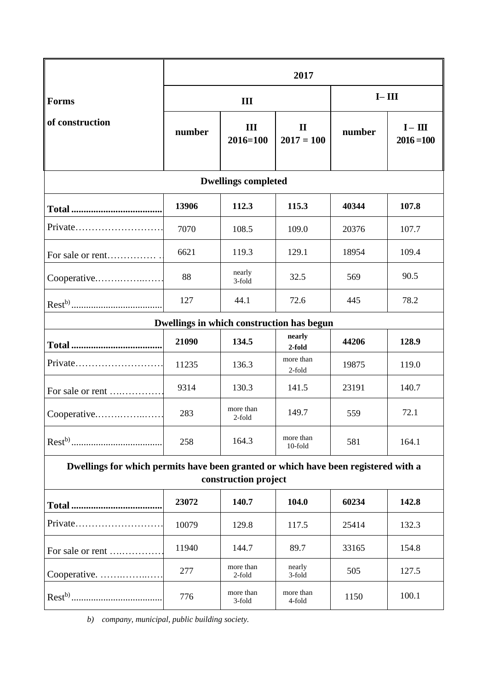|                                                                                                            | 2017   |                     |                              |           |                           |
|------------------------------------------------------------------------------------------------------------|--------|---------------------|------------------------------|-----------|---------------------------|
| <b>Forms</b><br>of construction                                                                            | III    |                     |                              | $I - III$ |                           |
|                                                                                                            | number | III<br>$2016 = 100$ | $\mathbf{I}$<br>$2017 = 100$ | number    | $I - III$<br>$2016 = 100$ |
| <b>Dwellings completed</b>                                                                                 |        |                     |                              |           |                           |
|                                                                                                            | 13906  | 112.3               | 115.3                        | 40344     | 107.8                     |
| Private                                                                                                    | 7070   | 108.5               | 109.0                        | 20376     | 107.7                     |
| For sale or rent                                                                                           | 6621   | 119.3               | 129.1                        | 18954     | 109.4                     |
| Cooperative                                                                                                | 88     | nearly<br>3-fold    | 32.5                         | 569       | 90.5                      |
|                                                                                                            | 127    | 44.1                | 72.6                         | 445       | 78.2                      |
| Dwellings in which construction has begun                                                                  |        |                     |                              |           |                           |
|                                                                                                            | 21090  | 134.5               | nearly<br>2-fold             | 44206     | 128.9                     |
| Private                                                                                                    | 11235  | 136.3               | more than<br>2-fold          | 19875     | 119.0                     |
| For sale or rent                                                                                           | 9314   | 130.3               | 141.5                        | 23191     | 140.7                     |
| Cooperative                                                                                                | 283    | more than<br>2-fold | 149.7                        | 559       | 72.1                      |
|                                                                                                            | 258    | 164.3               | more than<br>10-fold         | 581       | 164.1                     |
| Dwellings for which permits have been granted or which have been registered with a<br>construction project |        |                     |                              |           |                           |
|                                                                                                            | 23072  | 140.7               | 104.0                        | 60234     | 142.8                     |
| Private                                                                                                    | 10079  | 129.8               | 117.5                        | 25414     | 132.3                     |
| For sale or rent                                                                                           | 11940  | 144.7               | 89.7                         | 33165     | 154.8                     |
| Cooperative.                                                                                               | 277    | more than<br>2-fold | nearly<br>3-fold             | 505       | 127.5                     |
|                                                                                                            | 776    | more than<br>3-fold | more than<br>4-fold          | 1150      | 100.1                     |

*b) company, municipal, public building society.*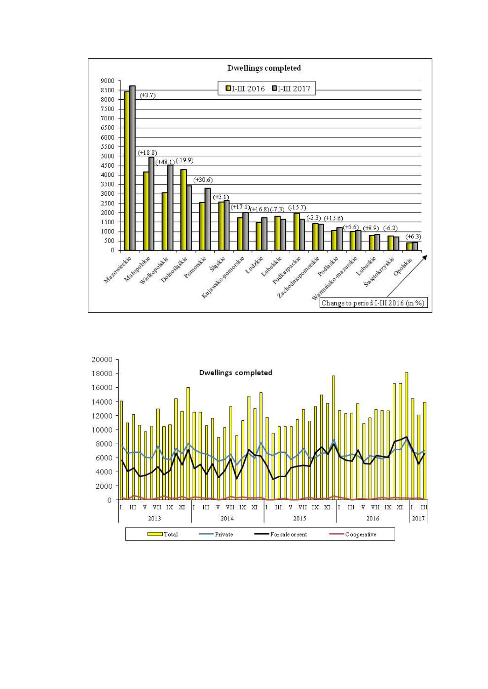